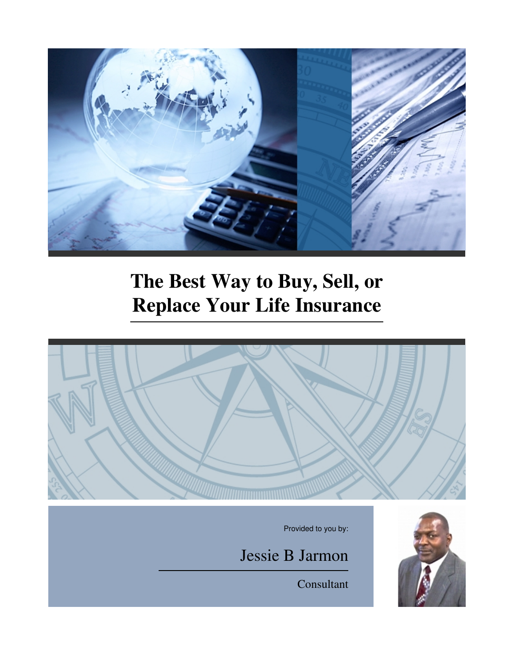

# **The Best Way to Buy, Sell, or Replace Your Life Insurance**



Provided to you by:

Jessie B Jarmon



Consultant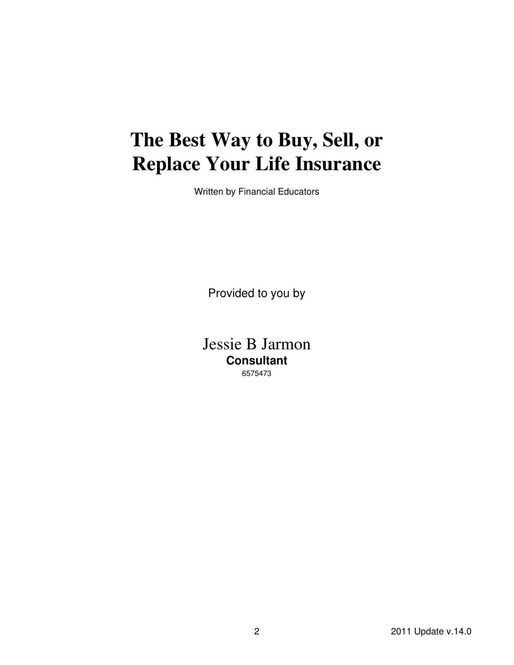## **The Best Way to Buy, Sell, or Replace Your Life Insurance**

Written by Financial Educators

Provided to you by

Jessie B Jarmon **Consultant** 6575473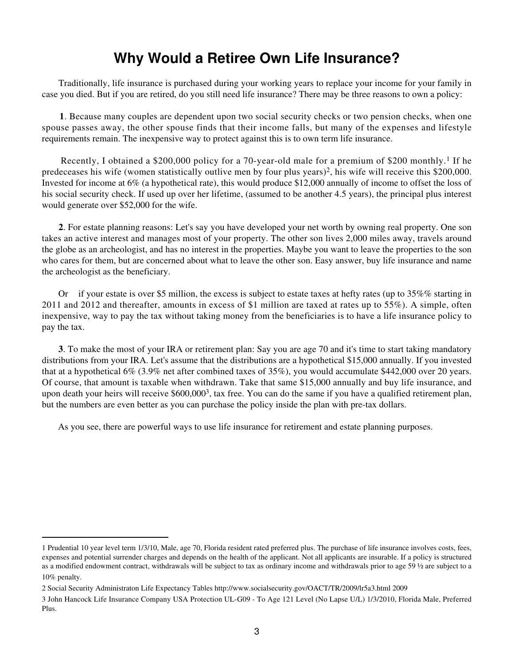#### **Why Would a Retiree Own Life Insurance?**

 Traditionally, life insurance is purchased during your working years to replace your income for your family in case you died. But if you are retired, do you still need life insurance? There may be three reasons to own a policy:

**1**. Because many couples are dependent upon two social security checks or two pension checks, when one spouse passes away, the other spouse finds that their income falls, but many of the expenses and lifestyle requirements remain. The inexpensive way to protect against this is to own term life insurance.

 Recently, I obtained a \$200,000 policy for a 70-year-old male for a premium of \$200 monthly.1 If he predeceases his wife (women statistically outlive men by four plus years)2, his wife will receive this \$200,000. Invested for income at 6% (a hypothetical rate), this would produce \$12,000 annually of income to offset the loss of his social security check. If used up over her lifetime, (assumed to be another 4.5 years), the principal plus interest would generate over \$52,000 for the wife.

**2**. For estate planning reasons: Let's say you have developed your net worth by owning real property. One son takes an active interest and manages most of your property. The other son lives 2,000 miles away, travels around the globe as an archeologist, and has no interest in the properties. Maybe you want to leave the properties to the son who cares for them, but are concerned about what to leave the other son. Easy answer, buy life insurance and name the archeologist as the beneficiary.

 Or if your estate is over \$5 million, the excess is subject to estate taxes at hefty rates (up to 35%% starting in 2011 and 2012 and thereafter, amounts in excess of \$1 million are taxed at rates up to 55%). A simple, often inexpensive, way to pay the tax without taking money from the beneficiaries is to have a life insurance policy to pay the tax.

**3**. To make the most of your IRA or retirement plan: Say you are age 70 and it's time to start taking mandatory distributions from your IRA. Let's assume that the distributions are a hypothetical \$15,000 annually. If you invested that at a hypothetical 6% (3.9% net after combined taxes of 35%), you would accumulate \$442,000 over 20 years. Of course, that amount is taxable when withdrawn. Take that same \$15,000 annually and buy life insurance, and upon death your heirs will receive  $$600,000^3$ , tax free. You can do the same if you have a qualified retirement plan, but the numbers are even better as you can purchase the policy inside the plan with pre-tax dollars.

As you see, there are powerful ways to use life insurance for retirement and estate planning purposes.

<sup>1</sup> Prudential 10 year level term 1/3/10, Male, age 70, Florida resident rated preferred plus. The purchase of life insurance involves costs, fees, expenses and potential surrender charges and depends on the health of the applicant. Not all applicants are insurable. If a policy is structured as a modified endowment contract, withdrawals will be subject to tax as ordinary income and withdrawals prior to age 59 ½ are subject to a 10% penalty.

<sup>2</sup> Social Security Administraton Life Expectancy Tables http://www.socialsecurity.gov/OACT/TR/2009/lr5a3.html 2009

<sup>3</sup> John Hancock Life Insurance Company USA Protection UL-G09 - To Age 121 Level (No Lapse U/L) 1/3/2010, Florida Male, Preferred Plus.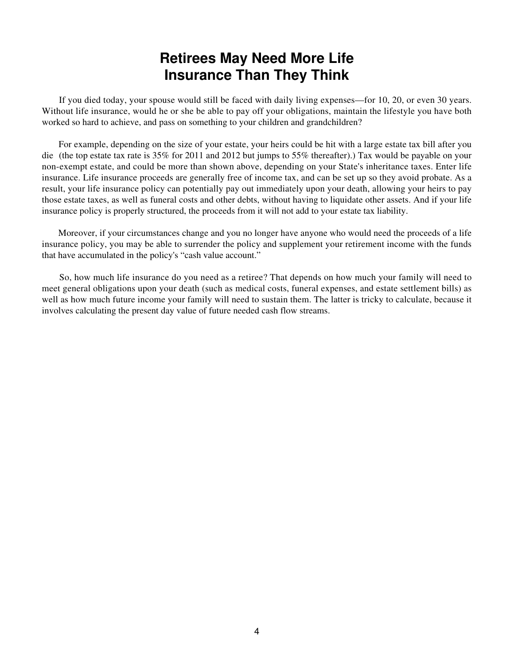#### **Retirees May Need More Life Insurance Than They Think**

 If you died today, your spouse would still be faced with daily living expenses—for 10, 20, or even 30 years. Without life insurance, would he or she be able to pay off your obligations, maintain the lifestyle you have both worked so hard to achieve, and pass on something to your children and grandchildren?

 For example, depending on the size of your estate, your heirs could be hit with a large estate tax bill after you die (the top estate tax rate is 35% for 2011 and 2012 but jumps to 55% thereafter).) Tax would be payable on your non-exempt estate, and could be more than shown above, depending on your State's inheritance taxes. Enter life insurance. Life insurance proceeds are generally free of income tax, and can be set up so they avoid probate. As a result, your life insurance policy can potentially pay out immediately upon your death, allowing your heirs to pay those estate taxes, as well as funeral costs and other debts, without having to liquidate other assets. And if your life insurance policy is properly structured, the proceeds from it will not add to your estate tax liability.

 Moreover, if your circumstances change and you no longer have anyone who would need the proceeds of a life insurance policy, you may be able to surrender the policy and supplement your retirement income with the funds that have accumulated in the policy's "cash value account."

 So, how much life insurance do you need as a retiree? That depends on how much your family will need to meet general obligations upon your death (such as medical costs, funeral expenses, and estate settlement bills) as well as how much future income your family will need to sustain them. The latter is tricky to calculate, because it involves calculating the present day value of future needed cash flow streams.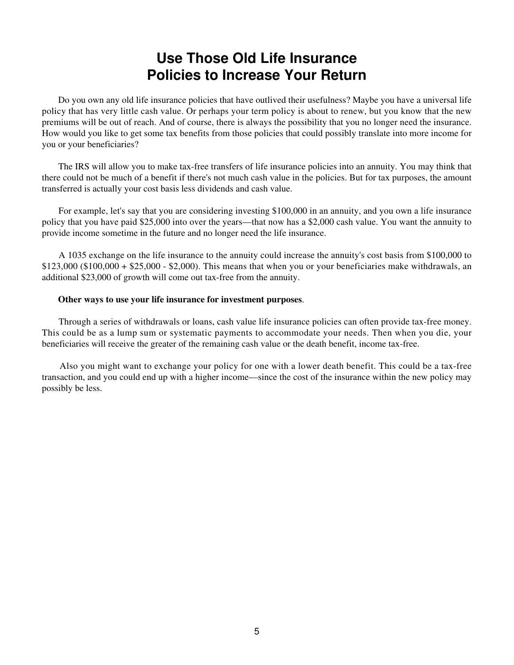#### **Use Those Old Life Insurance Policies to Increase Your Return**

 Do you own any old life insurance policies that have outlived their usefulness? Maybe you have a universal life policy that has very little cash value. Or perhaps your term policy is about to renew, but you know that the new premiums will be out of reach. And of course, there is always the possibility that you no longer need the insurance. How would you like to get some tax benefits from those policies that could possibly translate into more income for you or your beneficiaries?

 The IRS will allow you to make tax-free transfers of life insurance policies into an annuity. You may think that there could not be much of a benefit if there's not much cash value in the policies. But for tax purposes, the amount transferred is actually your cost basis less dividends and cash value.

 For example, let's say that you are considering investing \$100,000 in an annuity, and you own a life insurance policy that you have paid \$25,000 into over the years—that now has a \$2,000 cash value. You want the annuity to provide income sometime in the future and no longer need the life insurance.

 A 1035 exchange on the life insurance to the annuity could increase the annuity's cost basis from \$100,000 to  $$123,000 ($100,000 + $25,000 - $2,000)$ . This means that when you or your beneficiaries make withdrawals, an additional \$23,000 of growth will come out tax-free from the annuity.

#### **Other ways to use your life insurance for investment purposes**.

 Through a series of withdrawals or loans, cash value life insurance policies can often provide tax-free money. This could be as a lump sum or systematic payments to accommodate your needs. Then when you die, your beneficiaries will receive the greater of the remaining cash value or the death benefit, income tax-free.

 Also you might want to exchange your policy for one with a lower death benefit. This could be a tax-free transaction, and you could end up with a higher income—since the cost of the insurance within the new policy may possibly be less.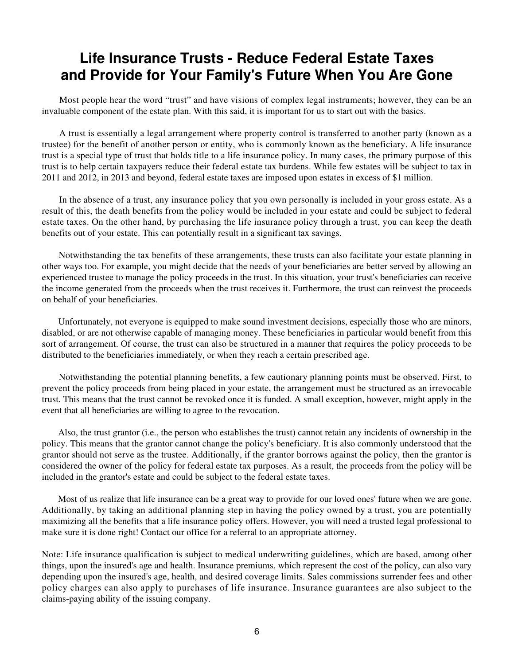#### **Life Insurance Trusts - Reduce Federal Estate Taxes and Provide for Your Family's Future When You Are Gone**

 Most people hear the word "trust" and have visions of complex legal instruments; however, they can be an invaluable component of the estate plan. With this said, it is important for us to start out with the basics.

 A trust is essentially a legal arrangement where property control is transferred to another party (known as a trustee) for the benefit of another person or entity, who is commonly known as the beneficiary. A life insurance trust is a special type of trust that holds title to a life insurance policy. In many cases, the primary purpose of this trust is to help certain taxpayers reduce their federal estate tax burdens. While few estates will be subject to tax in 2011 and 2012, in 2013 and beyond, federal estate taxes are imposed upon estates in excess of \$1 million.

 In the absence of a trust, any insurance policy that you own personally is included in your gross estate. As a result of this, the death benefits from the policy would be included in your estate and could be subject to federal estate taxes. On the other hand, by purchasing the life insurance policy through a trust, you can keep the death benefits out of your estate. This can potentially result in a significant tax savings.

 Notwithstanding the tax benefits of these arrangements, these trusts can also facilitate your estate planning in other ways too. For example, you might decide that the needs of your beneficiaries are better served by allowing an experienced trustee to manage the policy proceeds in the trust. In this situation, your trust's beneficiaries can receive the income generated from the proceeds when the trust receives it. Furthermore, the trust can reinvest the proceeds on behalf of your beneficiaries.

 Unfortunately, not everyone is equipped to make sound investment decisions, especially those who are minors, disabled, or are not otherwise capable of managing money. These beneficiaries in particular would benefit from this sort of arrangement. Of course, the trust can also be structured in a manner that requires the policy proceeds to be distributed to the beneficiaries immediately, or when they reach a certain prescribed age.

 Notwithstanding the potential planning benefits, a few cautionary planning points must be observed. First, to prevent the policy proceeds from being placed in your estate, the arrangement must be structured as an irrevocable trust. This means that the trust cannot be revoked once it is funded. A small exception, however, might apply in the event that all beneficiaries are willing to agree to the revocation.

 Also, the trust grantor (i.e., the person who establishes the trust) cannot retain any incidents of ownership in the policy. This means that the grantor cannot change the policy's beneficiary. It is also commonly understood that the grantor should not serve as the trustee. Additionally, if the grantor borrows against the policy, then the grantor is considered the owner of the policy for federal estate tax purposes. As a result, the proceeds from the policy will be included in the grantor's estate and could be subject to the federal estate taxes.

 Most of us realize that life insurance can be a great way to provide for our loved ones' future when we are gone. Additionally, by taking an additional planning step in having the policy owned by a trust, you are potentially maximizing all the benefits that a life insurance policy offers. However, you will need a trusted legal professional to make sure it is done right! Contact our office for a referral to an appropriate attorney.

Note: Life insurance qualification is subject to medical underwriting guidelines, which are based, among other things, upon the insured's age and health. Insurance premiums, which represent the cost of the policy, can also vary depending upon the insured's age, health, and desired coverage limits. Sales commissions surrender fees and other policy charges can also apply to purchases of life insurance. Insurance guarantees are also subject to the claims-paying ability of the issuing company.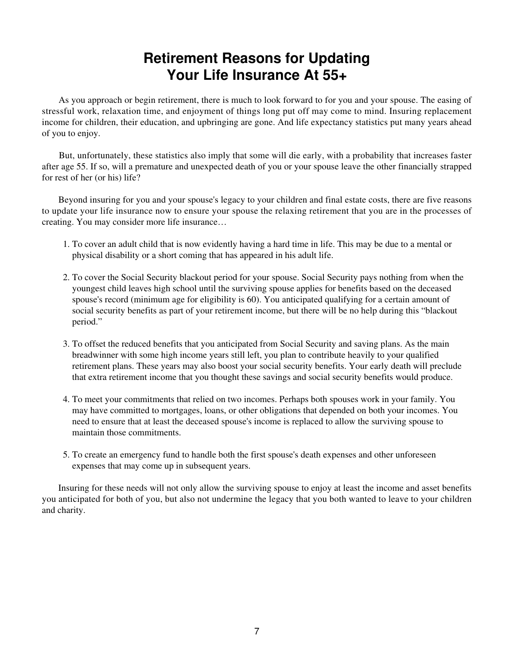#### **Retirement Reasons for Updating Your Life Insurance At 55+**

 As you approach or begin retirement, there is much to look forward to for you and your spouse. The easing of stressful work, relaxation time, and enjoyment of things long put off may come to mind. Insuring replacement income for children, their education, and upbringing are gone. And life expectancy statistics put many years ahead of you to enjoy.

 But, unfortunately, these statistics also imply that some will die early, with a probability that increases faster after age 55. If so, will a premature and unexpected death of you or your spouse leave the other financially strapped for rest of her (or his) life?

 Beyond insuring for you and your spouse's legacy to your children and final estate costs, there are five reasons to update your life insurance now to ensure your spouse the relaxing retirement that you are in the processes of creating. You may consider more life insurance…

- 1. To cover an adult child that is now evidently having a hard time in life. This may be due to a mental or physical disability or a short coming that has appeared in his adult life.
- 2. To cover the Social Security blackout period for your spouse. Social Security pays nothing from when the youngest child leaves high school until the surviving spouse applies for benefits based on the deceased spouse's record (minimum age for eligibility is 60). You anticipated qualifying for a certain amount of social security benefits as part of your retirement income, but there will be no help during this "blackout period."
- To offset the reduced benefits that you anticipated from Social Security and saving plans. As the main 3. breadwinner with some high income years still left, you plan to contribute heavily to your qualified retirement plans. These years may also boost your social security benefits. Your early death will preclude that extra retirement income that you thought these savings and social security benefits would produce.
- To meet your commitments that relied on two incomes. Perhaps both spouses work in your family. You 4. may have committed to mortgages, loans, or other obligations that depended on both your incomes. You need to ensure that at least the deceased spouse's income is replaced to allow the surviving spouse to maintain those commitments.
- 5. To create an emergency fund to handle both the first spouse's death expenses and other unforeseen expenses that may come up in subsequent years.

 Insuring for these needs will not only allow the surviving spouse to enjoy at least the income and asset benefits you anticipated for both of you, but also not undermine the legacy that you both wanted to leave to your children and charity.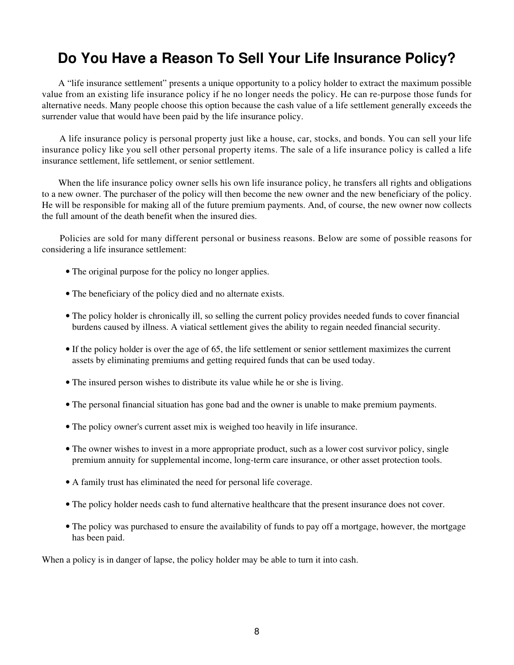#### **Do You Have a Reason To Sell Your Life Insurance Policy?**

 A "life insurance settlement" presents a unique opportunity to a policy holder to extract the maximum possible value from an existing life insurance policy if he no longer needs the policy. He can re-purpose those funds for alternative needs. Many people choose this option because the cash value of a life settlement generally exceeds the surrender value that would have been paid by the life insurance policy.

 A life insurance policy is personal property just like a house, car, stocks, and bonds. You can sell your life insurance policy like you sell other personal property items. The sale of a life insurance policy is called a life insurance settlement, life settlement, or senior settlement.

When the life insurance policy owner sells his own life insurance policy, he transfers all rights and obligations to a new owner. The purchaser of the policy will then become the new owner and the new beneficiary of the policy. He will be responsible for making all of the future premium payments. And, of course, the new owner now collects the full amount of the death benefit when the insured dies.

 Policies are sold for many different personal or business reasons. Below are some of possible reasons for considering a life insurance settlement:

- The original purpose for the policy no longer applies.
- The beneficiary of the policy died and no alternate exists.
- The policy holder is chronically ill, so selling the current policy provides needed funds to cover financial burdens caused by illness. A viatical settlement gives the ability to regain needed financial security.
- If the policy holder is over the age of 65, the life settlement or senior settlement maximizes the current assets by eliminating premiums and getting required funds that can be used today.
- The insured person wishes to distribute its value while he or she is living.
- The personal financial situation has gone bad and the owner is unable to make premium payments.
- The policy owner's current asset mix is weighed too heavily in life insurance.
- The owner wishes to invest in a more appropriate product, such as a lower cost survivor policy, single premium annuity for supplemental income, long-term care insurance, or other asset protection tools.
- A family trust has eliminated the need for personal life coverage.
- The policy holder needs cash to fund alternative healthcare that the present insurance does not cover.
- The policy was purchased to ensure the availability of funds to pay off a mortgage, however, the mortgage has been paid.

When a policy is in danger of lapse, the policy holder may be able to turn it into cash.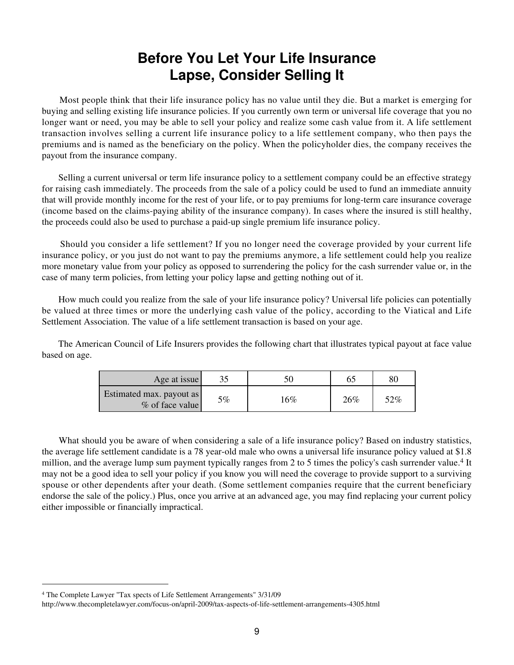#### **Before You Let Your Life Insurance Lapse, Consider Selling It**

 Most people think that their life insurance policy has no value until they die. But a market is emerging for buying and selling existing life insurance policies. If you currently own term or universal life coverage that you no longer want or need, you may be able to sell your policy and realize some cash value from it. A life settlement transaction involves selling a current life insurance policy to a life settlement company, who then pays the premiums and is named as the beneficiary on the policy. When the policyholder dies, the company receives the payout from the insurance company.

 Selling a current universal or term life insurance policy to a settlement company could be an effective strategy for raising cash immediately. The proceeds from the sale of a policy could be used to fund an immediate annuity that will provide monthly income for the rest of your life, or to pay premiums for long-term care insurance coverage (income based on the claims-paying ability of the insurance company). In cases where the insured is still healthy, the proceeds could also be used to purchase a paid-up single premium life insurance policy.

 Should you consider a life settlement? If you no longer need the coverage provided by your current life insurance policy, or you just do not want to pay the premiums anymore, a life settlement could help you realize more monetary value from your policy as opposed to surrendering the policy for the cash surrender value or, in the case of many term policies, from letting your policy lapse and getting nothing out of it.

How much could you realize from the sale of your life insurance policy? Universal life policies can potentially be valued at three times or more the underlying cash value of the policy, according to the Viatical and Life Settlement Association. The value of a life settlement transaction is based on your age.

 The American Council of Life Insurers provides the following chart that illustrates typical payout at face value based on age.

| Age at issue                                |    |        |     | 80  |
|---------------------------------------------|----|--------|-----|-----|
| Estimated max. payout as<br>% of face value | 5% | $16\%$ | 26% | 52% |

What should you be aware of when considering a sale of a life insurance policy? Based on industry statistics, the average life settlement candidate is a 78 year-old male who owns a universal life insurance policy valued at \$1.8 million, and the average lump sum payment typically ranges from 2 to 5 times the policy's cash surrender value.<sup>4</sup> It may not be a good idea to sell your policy if you know you will need the coverage to provide support to a surviving spouse or other dependents after your death. (Some settlement companies require that the current beneficiary endorse the sale of the policy.) Plus, once you arrive at an advanced age, you may find replacing your current policy either impossible or financially impractical.

<sup>4</sup> The Complete Lawyer "Tax spects of Life Settlement Arrangements" 3/31/09

http://www.thecompletelawyer.com/focus-on/april-2009/tax-aspects-of-life-settlement-arrangements-4305.html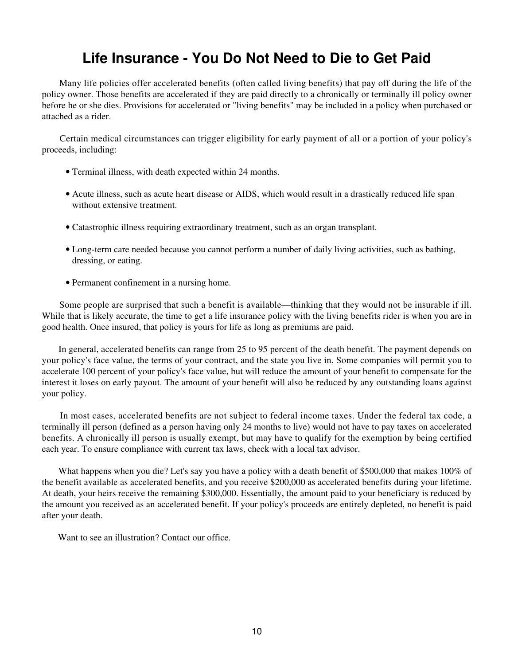### **Life Insurance - You Do Not Need to Die to Get Paid**

 Many life policies offer accelerated benefits (often called living benefits) that pay off during the life of the policy owner. Those benefits are accelerated if they are paid directly to a chronically or terminally ill policy owner before he or she dies. Provisions for accelerated or "living benefits" may be included in a policy when purchased or attached as a rider.

 Certain medical circumstances can trigger eligibility for early payment of all or a portion of your policy's proceeds, including:

- Terminal illness, with death expected within 24 months.
- Acute illness, such as acute heart disease or AIDS, which would result in a drastically reduced life span without extensive treatment.
- Catastrophic illness requiring extraordinary treatment, such as an organ transplant.
- Long-term care needed because you cannot perform a number of daily living activities, such as bathing, dressing, or eating.
- Permanent confinement in a nursing home.

 Some people are surprised that such a benefit is available—thinking that they would not be insurable if ill. While that is likely accurate, the time to get a life insurance policy with the living benefits rider is when you are in good health. Once insured, that policy is yours for life as long as premiums are paid.

 In general, accelerated benefits can range from 25 to 95 percent of the death benefit. The payment depends on your policy's face value, the terms of your contract, and the state you live in. Some companies will permit you to accelerate 100 percent of your policy's face value, but will reduce the amount of your benefit to compensate for the interest it loses on early payout. The amount of your benefit will also be reduced by any outstanding loans against your policy.

 In most cases, accelerated benefits are not subject to federal income taxes. Under the federal tax code, a terminally ill person (defined as a person having only 24 months to live) would not have to pay taxes on accelerated benefits. A chronically ill person is usually exempt, but may have to qualify for the exemption by being certified each year. To ensure compliance with current tax laws, check with a local tax advisor.

 What happens when you die? Let's say you have a policy with a death benefit of \$500,000 that makes 100% of the benefit available as accelerated benefits, and you receive \$200,000 as accelerated benefits during your lifetime. At death, your heirs receive the remaining \$300,000. Essentially, the amount paid to your beneficiary is reduced by the amount you received as an accelerated benefit. If your policy's proceeds are entirely depleted, no benefit is paid after your death.

Want to see an illustration? Contact our office.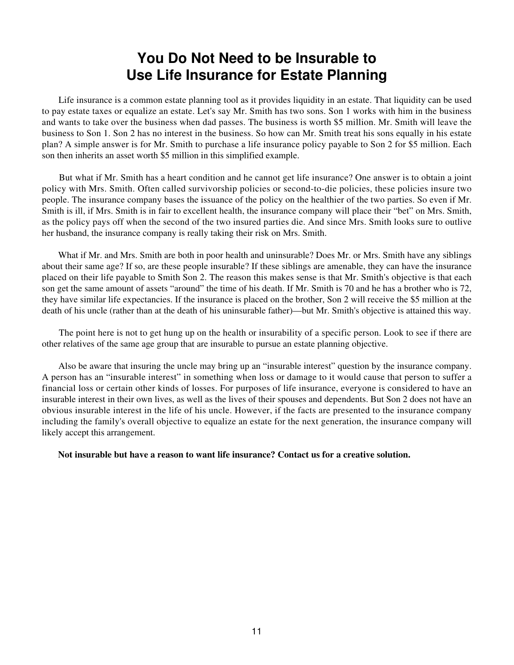#### **You Do Not Need to be Insurable to Use Life Insurance for Estate Planning**

 Life insurance is a common estate planning tool as it provides liquidity in an estate. That liquidity can be used to pay estate taxes or equalize an estate. Let's say Mr. Smith has two sons. Son 1 works with him in the business and wants to take over the business when dad passes. The business is worth \$5 million. Mr. Smith will leave the business to Son 1. Son 2 has no interest in the business. So how can Mr. Smith treat his sons equally in his estate plan? A simple answer is for Mr. Smith to purchase a life insurance policy payable to Son 2 for \$5 million. Each son then inherits an asset worth \$5 million in this simplified example.

 But what if Mr. Smith has a heart condition and he cannot get life insurance? One answer is to obtain a joint policy with Mrs. Smith. Often called survivorship policies or second-to-die policies, these policies insure two people. The insurance company bases the issuance of the policy on the healthier of the two parties. So even if Mr. Smith is ill, if Mrs. Smith is in fair to excellent health, the insurance company will place their "bet" on Mrs. Smith, as the policy pays off when the second of the two insured parties die. And since Mrs. Smith looks sure to outlive her husband, the insurance company is really taking their risk on Mrs. Smith.

What if Mr. and Mrs. Smith are both in poor health and uninsurable? Does Mr. or Mrs. Smith have any siblings about their same age? If so, are these people insurable? If these siblings are amenable, they can have the insurance placed on their life payable to Smith Son 2. The reason this makes sense is that Mr. Smith's objective is that each son get the same amount of assets "around" the time of his death. If Mr. Smith is 70 and he has a brother who is 72, they have similar life expectancies. If the insurance is placed on the brother, Son 2 will receive the \$5 million at the death of his uncle (rather than at the death of his uninsurable father)—but Mr. Smith's objective is attained this way.

 The point here is not to get hung up on the health or insurability of a specific person. Look to see if there are other relatives of the same age group that are insurable to pursue an estate planning objective.

 Also be aware that insuring the uncle may bring up an "insurable interest" question by the insurance company. A person has an "insurable interest" in something when loss or damage to it would cause that person to suffer a financial loss or certain other kinds of losses. For purposes of life insurance, everyone is considered to have an insurable interest in their own lives, as well as the lives of their spouses and dependents. But Son 2 does not have an obvious insurable interest in the life of his uncle. However, if the facts are presented to the insurance company including the family's overall objective to equalize an estate for the next generation, the insurance company will likely accept this arrangement.

**Not insurable but have a reason to want life insurance? Contact us for a creative solution.**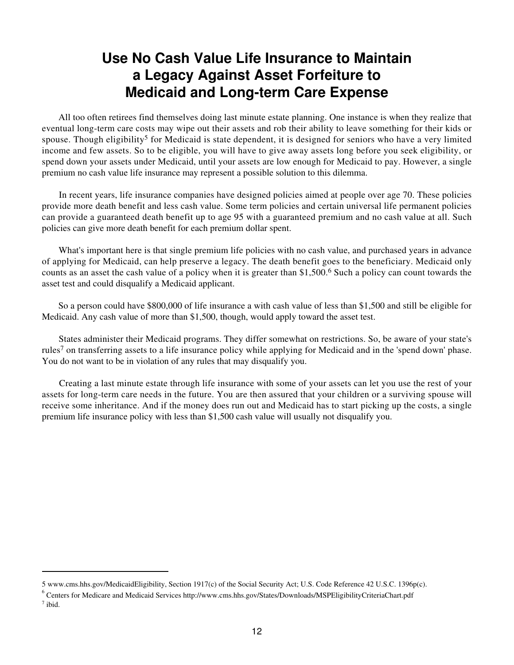#### **Use No Cash Value Life Insurance to Maintain a Legacy Against Asset Forfeiture to Medicaid and Long-term Care Expense**

 All too often retirees find themselves doing last minute estate planning. One instance is when they realize that eventual long-term care costs may wipe out their assets and rob their ability to leave something for their kids or spouse. Though eligibility<sup>5</sup> for Medicaid is state dependent, it is designed for seniors who have a very limited income and few assets. So to be eligible, you will have to give away assets long before you seek eligibility, or spend down your assets under Medicaid, until your assets are low enough for Medicaid to pay. However, a single premium no cash value life insurance may represent a possible solution to this dilemma.

 In recent years, life insurance companies have designed policies aimed at people over age 70. These policies provide more death benefit and less cash value. Some term policies and certain universal life permanent policies can provide a guaranteed death benefit up to age 95 with a guaranteed premium and no cash value at all. Such policies can give more death benefit for each premium dollar spent.

 What's important here is that single premium life policies with no cash value, and purchased years in advance of applying for Medicaid, can help preserve a legacy. The death benefit goes to the beneficiary. Medicaid only counts as an asset the cash value of a policy when it is greater than \$1,500.6 Such a policy can count towards the asset test and could disqualify a Medicaid applicant.

 So a person could have \$800,000 of life insurance a with cash value of less than \$1,500 and still be eligible for Medicaid. Any cash value of more than \$1,500, though, would apply toward the asset test.

 States administer their Medicaid programs. They differ somewhat on restrictions. So, be aware of your state's rules7 on transferring assets to a life insurance policy while applying for Medicaid and in the 'spend down' phase. You do not want to be in violation of any rules that may disqualify you.

 Creating a last minute estate through life insurance with some of your assets can let you use the rest of your assets for long-term care needs in the future. You are then assured that your children or a surviving spouse will receive some inheritance. And if the money does run out and Medicaid has to start picking up the costs, a single premium life insurance policy with less than \$1,500 cash value will usually not disqualify you.

<sup>5</sup> www.cms.hhs.gov/MedicaidEligibility, Section 1917(c) of the Social Security Act; U.S. Code Reference 42 U.S.C. 1396p(c).

<sup>&</sup>lt;sup>6</sup> Centers for Medicare and Medicaid Services http://www.cms.hhs.gov/States/Downloads/MSPEligibilityCriteriaChart.pdf  $7$  ibid.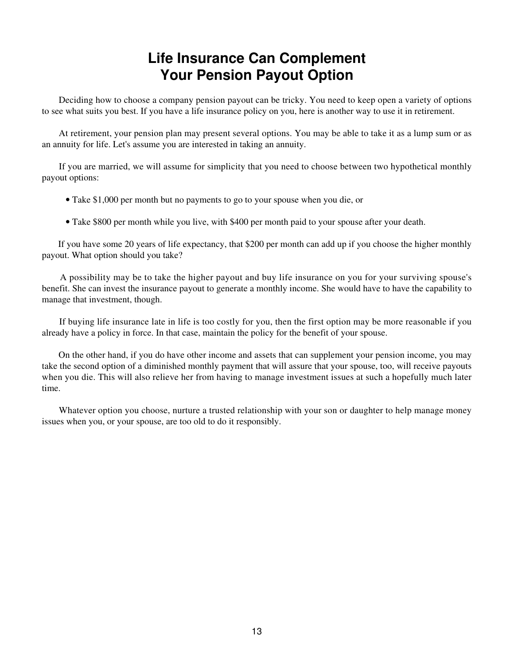#### **Life Insurance Can Complement Your Pension Payout Option**

 Deciding how to choose a company pension payout can be tricky. You need to keep open a variety of options to see what suits you best. If you have a life insurance policy on you, here is another way to use it in retirement.

 At retirement, your pension plan may present several options. You may be able to take it as a lump sum or as an annuity for life. Let's assume you are interested in taking an annuity.

 If you are married, we will assume for simplicity that you need to choose between two hypothetical monthly payout options:

- Take \$1,000 per month but no payments to go to your spouse when you die, or
- Take \$800 per month while you live, with \$400 per month paid to your spouse after your death.

 If you have some 20 years of life expectancy, that \$200 per month can add up if you choose the higher monthly payout. What option should you take?

 A possibility may be to take the higher payout and buy life insurance on you for your surviving spouse's benefit. She can invest the insurance payout to generate a monthly income. She would have to have the capability to manage that investment, though.

 If buying life insurance late in life is too costly for you, then the first option may be more reasonable if you already have a policy in force. In that case, maintain the policy for the benefit of your spouse.

 On the other hand, if you do have other income and assets that can supplement your pension income, you may take the second option of a diminished monthly payment that will assure that your spouse, too, will receive payouts when you die. This will also relieve her from having to manage investment issues at such a hopefully much later time.

 Whatever option you choose, nurture a trusted relationship with your son or daughter to help manage money issues when you, or your spouse, are too old to do it responsibly.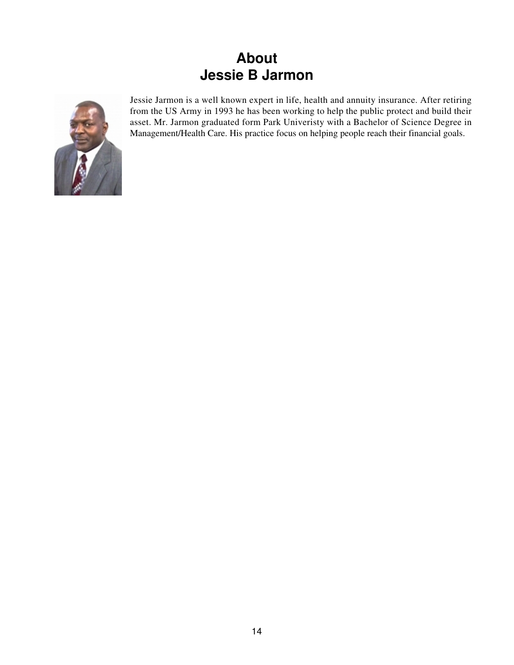### **About Jessie B Jarmon**



Jessie Jarmon is a well known expert in life, health and annuity insurance. After retiring from the US Army in 1993 he has been working to help the public protect and build their asset. Mr. Jarmon graduated form Park Univeristy with a Bachelor of Science Degree in Management/Health Care. His practice focus on helping people reach their financial goals.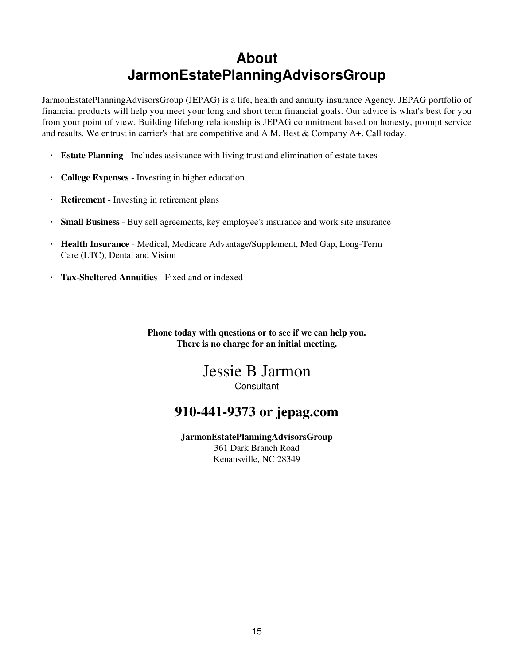### **About JarmonEstatePlanningAdvisorsGroup**

JarmonEstatePlanningAdvisorsGroup (JEPAG) is a life, health and annuity insurance Agency. JEPAG portfolio of financial products will help you meet your long and short term financial goals. Our advice is what's best for you from your point of view. Building lifelong relationship is JEPAG commitment based on honesty, prompt service and results. We entrust in carrier's that are competitive and A.M. Best & Company A+. Call today.

- **· Estate Planning** Includes assistance with living trust and elimination of estate taxes
- **· College Expenses** Investing in higher education
- **· Retirement** Investing in retirement plans
- **· Small Business** Buy sell agreements, key employee's insurance and work site insurance
- **· Health Insurance** Medical, Medicare Advantage/Supplement, Med Gap, Long-Term Care (LTC), Dental and Vision
- **· Tax-Sheltered Annuities** Fixed and or indexed

**Phone today with questions or to see if we can help you. There is no charge for an initial meeting.**

#### Jessie B Jarmon **Consultant**

#### **910-441-9373 or jepag.com**

**JarmonEstatePlanningAdvisorsGroup** 361 Dark Branch Road Kenansville, NC 28349